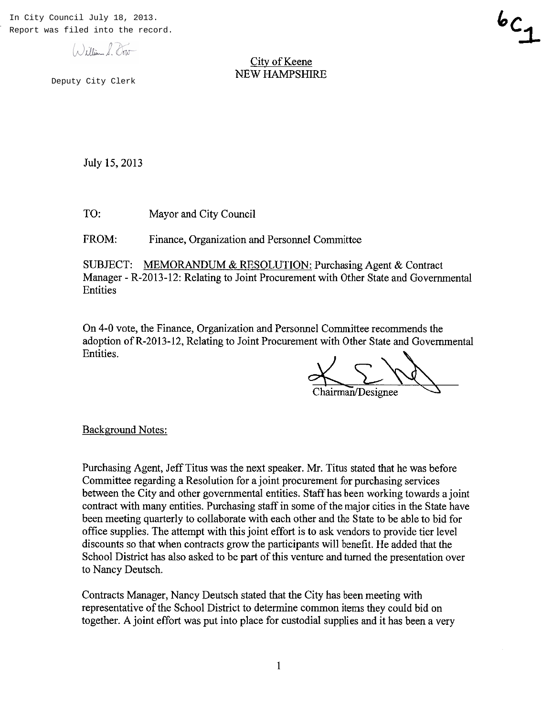In City Council July 18, 2013. Report was filed into the record.

 $\lambda \ln n$ 

Deputy City Clerk

City of Keene NEW HAMPSHIRE

July 15, 2013

TO: Mayor and City Council

FROM: Finance, Organization and Personnel Committee

SUBJECT: MEMORANDUM & RESOLUTION: Purchasing Agent & Contract Manager - R-2013-12: Relating to Joint Procurement with Other State and Governmental **Entities** 

On 4-0 vote, the Finance, Organization and Personnel Committee recommends the adoption ofR-2013-12, Relating to Joint Procurement with Other State and Governmental On 4-0 vote, the Finance, Organization and Personnel Committee recommends the adoption of R-2013-12, Relating to Joint Procurement with Other State and Governmental Entities.

Chairman/Designee

 $6c_1$ 

Background Notes:

Purchasing Agent, Jeff Titus was the next speaker. Mr. Titus stated that he was before Committee regarding a Resolution for a joint procurement for purchasing services between the City and other governmental entities. Staff has been working towards a joint contract with many entities. Purchasing staff in some of the major cities in the State have been meeting quarterly to collaborate with each other and the State to be able to bid for office supplies. The attempt with this joint effort is to ask vendors to provide tier level discounts so that when contracts grow the participants will benefit. He added that the School District has also asked to be part of this venture and turned the presentation over to Nancy Deutsch.

Contracts Manager, Nancy Deutsch stated that the City has been meeting with representative of the School District to determine common items they could bid on together. A joint effort was put into place for custodial supplies and it has been a very